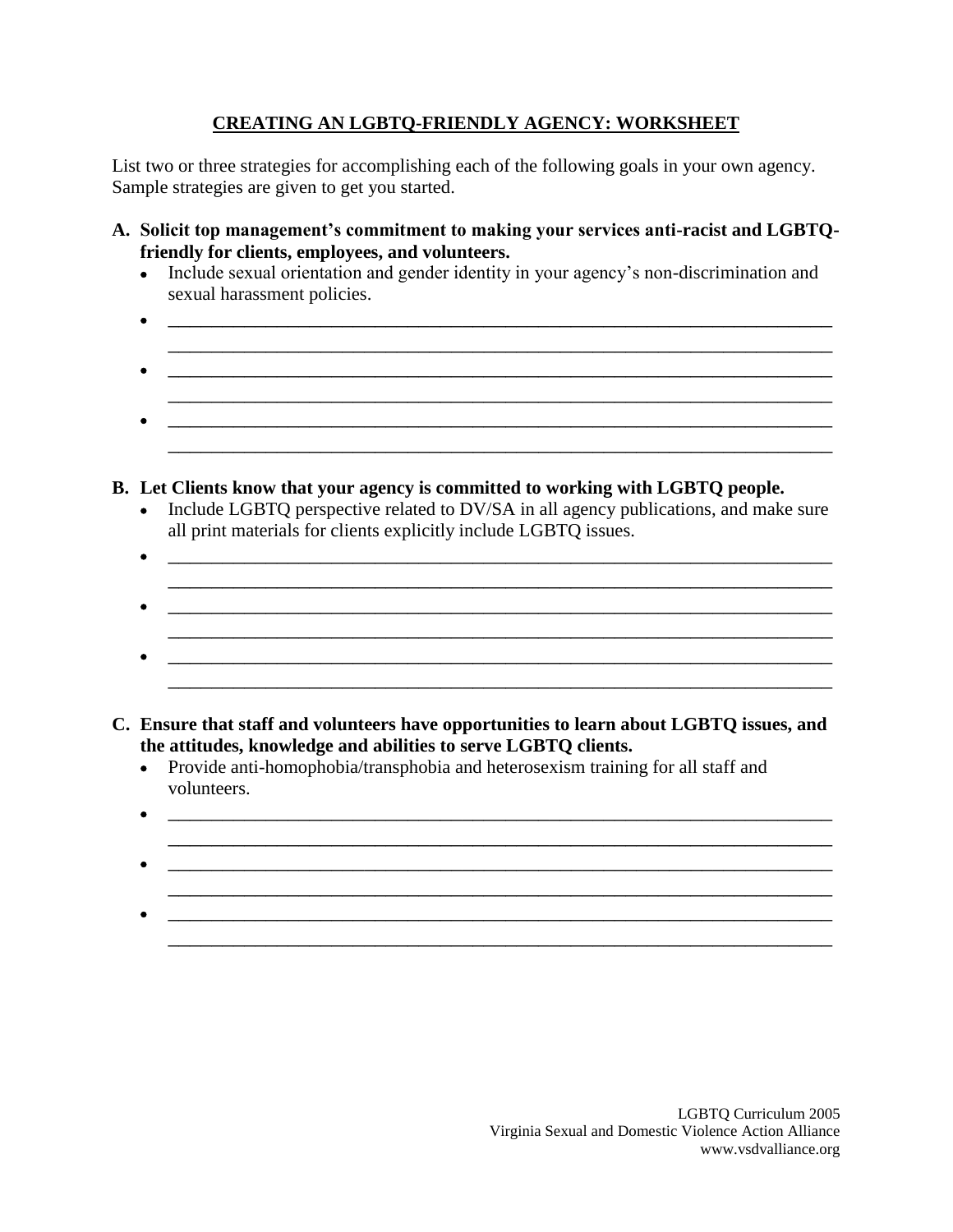## **CREATING AN LGBTQ-FRIENDLY AGENCY: WORKSHEET**

List two or three strategies for accomplishing each of the following goals in your own agency. Sample strategies are given to get you started.

- **A. Solicit top management's commitment to making your services anti-racist and LGBTQfriendly for clients, employees, and volunteers.**
	- Include sexual orientation and gender identity in your agency's non-discrimination and sexual harassment policies.
	- $\bullet$   $\hspace{0.2cm}$   $\hspace{0.2cm}$   $\hspace{0.2cm}$   $\hspace{0.2cm}$   $\hspace{0.2cm}$   $\hspace{0.2cm}$   $\hspace{0.2cm}$   $\hspace{0.2cm}$   $\hspace{0.2cm}$   $\hspace{0.2cm}$   $\hspace{0.2cm}$   $\hspace{0.2cm}$   $\hspace{0.2cm}$   $\hspace{0.2cm}$   $\hspace{0.2cm}$   $\hspace{0.2cm}$   $\hspace{0.2cm}$   $\hspace{0.2cm}$   $\mathcal{L}_\mathcal{L} = \mathcal{L}_\mathcal{L} = \mathcal{L}_\mathcal{L} = \mathcal{L}_\mathcal{L} = \mathcal{L}_\mathcal{L} = \mathcal{L}_\mathcal{L} = \mathcal{L}_\mathcal{L} = \mathcal{L}_\mathcal{L} = \mathcal{L}_\mathcal{L} = \mathcal{L}_\mathcal{L} = \mathcal{L}_\mathcal{L} = \mathcal{L}_\mathcal{L} = \mathcal{L}_\mathcal{L} = \mathcal{L}_\mathcal{L} = \mathcal{L}_\mathcal{L} = \mathcal{L}_\mathcal{L} = \mathcal{L}_\mathcal{L}$  \_\_\_\_\_\_\_\_\_\_\_\_\_\_\_\_\_\_\_\_\_\_\_\_\_\_\_\_\_\_\_\_\_\_\_\_\_\_\_\_\_\_\_\_\_\_\_\_\_\_\_\_\_\_\_\_\_\_\_\_\_  $\mathcal{L}_\mathcal{L} = \{ \mathcal{L}_\mathcal{L} = \{ \mathcal{L}_\mathcal{L} = \{ \mathcal{L}_\mathcal{L} = \{ \mathcal{L}_\mathcal{L} = \{ \mathcal{L}_\mathcal{L} = \{ \mathcal{L}_\mathcal{L} = \{ \mathcal{L}_\mathcal{L} = \{ \mathcal{L}_\mathcal{L} = \{ \mathcal{L}_\mathcal{L} = \{ \mathcal{L}_\mathcal{L} = \{ \mathcal{L}_\mathcal{L} = \{ \mathcal{L}_\mathcal{L} = \{ \mathcal{L}_\mathcal{L} = \{ \mathcal{L}_\mathcal{$  $\bullet$   $\qquad \qquad \qquad \qquad \qquad \qquad \qquad \qquad \qquad \qquad \qquad \qquad \qquad \qquad \qquad \qquad \qquad \qquad \qquad \qquad \qquad \qquad \qquad \qquad \qquad \qquad \qquad \qquad \qquad \qquad \qquad \qquad \qquad \qquad \qquad \qquad \qquad \qquad \qquad \qquad \qquad \qquad \qquad \q$

\_\_\_\_\_\_\_\_\_\_\_\_\_\_\_\_\_\_\_\_\_\_\_\_\_\_\_\_\_\_\_\_\_\_\_\_\_\_\_\_\_\_\_\_\_\_\_\_\_\_\_\_\_\_\_\_\_\_\_\_\_

## **B. Let Clients know that your agency is committed to working with LGBTQ people.**

- Include LGBTQ perspective related to DV/SA in all agency publications, and make sure all print materials for clients explicitly include LGBTQ issues.
- $\bullet$   $\qquad \qquad \qquad \qquad \qquad \qquad \qquad \qquad \qquad \qquad \qquad \qquad \qquad \qquad \qquad \qquad \qquad \qquad \qquad \qquad \qquad \qquad \mathcal{L}_\text{max} = \mathcal{L}_\text{max} = \mathcal{L}_\text{max} = \mathcal{L}_\text{max} = \mathcal{L}_\text{max} = \mathcal{L}_\text{max} = \mathcal{L}_\text{max} = \mathcal{L}_\text{max} = \mathcal{L}_\text{max} = \mathcal{L}_\text{max} = \mathcal{L}_\text{max} = \mathcal{L}_\text{max} = \mathcal{L}_\text{max} = \mathcal{L}_\text{max} = \mathcal{L}_\text{max} = \mathcal{L}_\text{max} = \mathcal{L}_\text{max} = \mathcal{L}_\text{max} = \mathcal{$  \_\_\_\_\_\_\_\_\_\_\_\_\_\_\_\_\_\_\_\_\_\_\_\_\_\_\_\_\_\_\_\_\_\_\_\_\_\_\_\_\_\_\_\_\_\_\_\_\_\_\_\_\_\_\_\_\_\_\_\_\_ \_\_\_\_\_\_\_\_\_\_\_\_\_\_\_\_\_\_\_\_\_\_\_\_\_\_\_\_\_\_\_\_\_\_\_\_\_\_\_\_\_\_\_\_\_\_\_\_\_\_\_\_\_\_\_\_\_\_\_\_\_
- $\bullet$   $\qquad \qquad \qquad \qquad \qquad \qquad \qquad \qquad \qquad \qquad \qquad \qquad \qquad \qquad \qquad \qquad \qquad \qquad \qquad \qquad \qquad \qquad \qquad \qquad \qquad \qquad \qquad \qquad \qquad \qquad \qquad \qquad \qquad \qquad \qquad \qquad \qquad \qquad \qquad \qquad \qquad \qquad \qquad \q$ \_\_\_\_\_\_\_\_\_\_\_\_\_\_\_\_\_\_\_\_\_\_\_\_\_\_\_\_\_\_\_\_\_\_\_\_\_\_\_\_\_\_\_\_\_\_\_\_\_\_\_\_\_\_\_\_\_\_\_\_\_
- **C. Ensure that staff and volunteers have opportunities to learn about LGBTQ issues, and the attitudes, knowledge and abilities to serve LGBTQ clients.**
	- Provide anti-homophobia/transphobia and heterosexism training for all staff and volunteers.
	- $\bullet$   $\hspace{0.2cm}$   $\hspace{0.2cm}$   $\hspace{0.2cm}$   $\hspace{0.2cm}$   $\hspace{0.2cm}$   $\hspace{0.2cm}$   $\hspace{0.2cm}$   $\hspace{0.2cm}$   $\hspace{0.2cm}$   $\hspace{0.2cm}$   $\hspace{0.2cm}$   $\hspace{0.2cm}$   $\hspace{0.2cm}$   $\hspace{0.2cm}$   $\hspace{0.2cm}$   $\hspace{0.2cm}$   $\hspace{0.2cm}$   $\hspace{0.2cm}$
	- \_\_\_\_\_\_\_\_\_\_\_\_\_\_\_\_\_\_\_\_\_\_\_\_\_\_\_\_\_\_\_\_\_\_\_\_\_\_\_\_\_\_\_\_\_\_\_\_\_\_\_\_\_\_\_\_\_\_\_\_\_  $\bullet$   $\hspace{0.2cm}$   $\hspace{0.2cm}$   $\hspace{0.2cm}$   $\hspace{0.2cm}$   $\hspace{0.2cm}$   $\hspace{0.2cm}$   $\hspace{0.2cm}$   $\hspace{0.2cm}$   $\hspace{0.2cm}$   $\hspace{0.2cm}$   $\hspace{0.2cm}$   $\hspace{0.2cm}$   $\hspace{0.2cm}$   $\hspace{0.2cm}$   $\hspace{0.2cm}$   $\hspace{0.2cm}$   $\hspace{0.2cm}$   $\hspace{0.2cm}$
	- \_\_\_\_\_\_\_\_\_\_\_\_\_\_\_\_\_\_\_\_\_\_\_\_\_\_\_\_\_\_\_\_\_\_\_\_\_\_\_\_\_\_\_\_\_\_\_\_\_\_\_\_\_\_\_\_\_\_\_\_\_  $\bullet$   $\hspace{0.2cm}$   $\hspace{0.2cm}$   $\hspace{0.2cm}$   $\hspace{0.2cm}$   $\hspace{0.2cm}$   $\hspace{0.2cm}$   $\hspace{0.2cm}$   $\hspace{0.2cm}$   $\hspace{0.2cm}$   $\hspace{0.2cm}$   $\hspace{0.2cm}$   $\hspace{0.2cm}$   $\hspace{0.2cm}$   $\hspace{0.2cm}$   $\hspace{0.2cm}$   $\hspace{0.2cm}$   $\hspace{0.2cm}$   $\hspace{0.2cm}$  \_\_\_\_\_\_\_\_\_\_\_\_\_\_\_\_\_\_\_\_\_\_\_\_\_\_\_\_\_\_\_\_\_\_\_\_\_\_\_\_\_\_\_\_\_\_\_\_\_\_\_\_\_\_\_\_\_\_\_\_\_